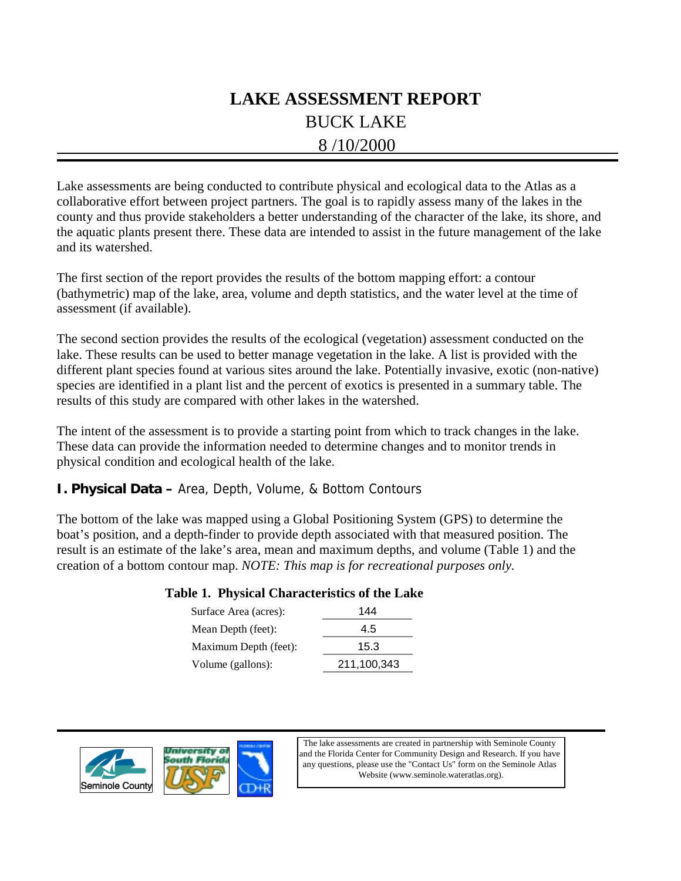## BUCK LAKE 8 /10/2000 **LAKE ASSESSMENT REPORT**

Lake assessments are being conducted to contribute physical and ecological data to the Atlas as a collaborative effort between project partners. The goal is to rapidly assess many of the lakes in the county and thus provide stakeholders a better understanding of the character of the lake, its shore, and the aquatic plants present there. These data are intended to assist in the future management of the lake and its watershed.

The first section of the report provides the results of the bottom mapping effort: a contour (bathymetric) map of the lake, area, volume and depth statistics, and the water level at the time of assessment (if available).

The second section provides the results of the ecological (vegetation) assessment conducted on the lake. These results can be used to better manage vegetation in the lake. A list is provided with the different plant species found at various sites around the lake. Potentially invasive, exotic (non-native) species are identified in a plant list and the percent of exotics is presented in a summary table. The results of this study are compared with other lakes in the watershed.

The intent of the assessment is to provide a starting point from which to track changes in the lake. These data can provide the information needed to determine changes and to monitor trends in physical condition and ecological health of the lake.

## **I. Physical Data –** Area, Depth, Volume, & Bottom Contours

The bottom of the lake was mapped using a Global Positioning System (GPS) to determine the boat's position, and a depth-finder to provide depth associated with that measured position. The result is an estimate of the lake's area, mean and maximum depths, and volume (Table 1) and the creation of a bottom contour map. *NOTE: This map is for recreational purposes only.*

## **Table 1. Physical Characteristics of the Lake**

| Surface Area (acres): | 144         |
|-----------------------|-------------|
| Mean Depth (feet):    | 4.5         |
| Maximum Depth (feet): | 15.3        |
| Volume (gallons):     | 211,100,343 |





The lake assessments are created in partnership with Seminole County and the Florida Center for Community Design and Research. If you have any questions, please use the "Contact Us" form on the Seminole Atlas Website (www.seminole.wateratlas.org).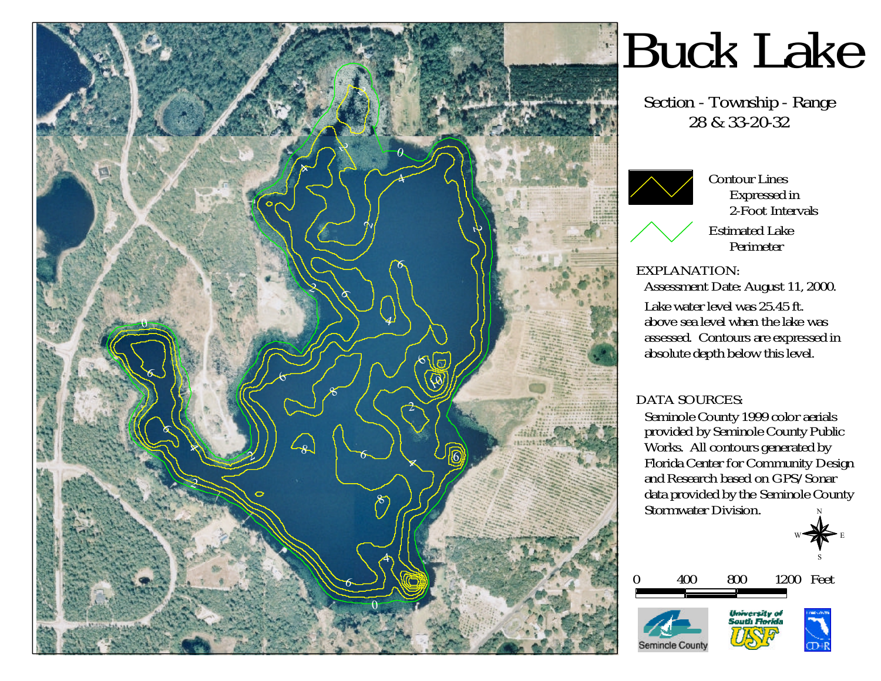

# Buck Lake

Section - Township - Range 28 & 33-20-32



Contour Lines Expressed in 2-Foot IntervalsEstimated Lake

Perimeter

## EXPLANATION:

Assessment Date: August 11, 2000. Lake water level was 25.45 ft.above sea level when the lake wasassessed. Contours are expressed in absolute depth below this level.

## DATA SOURCES:

Semincle Count

Seminole County 1999 color aerials provided by Seminole County Public Works. All contours generated by Florida Center for Community Design and Research based on GPS/Sonar data provided by the Seminole County Stormwater Division. N

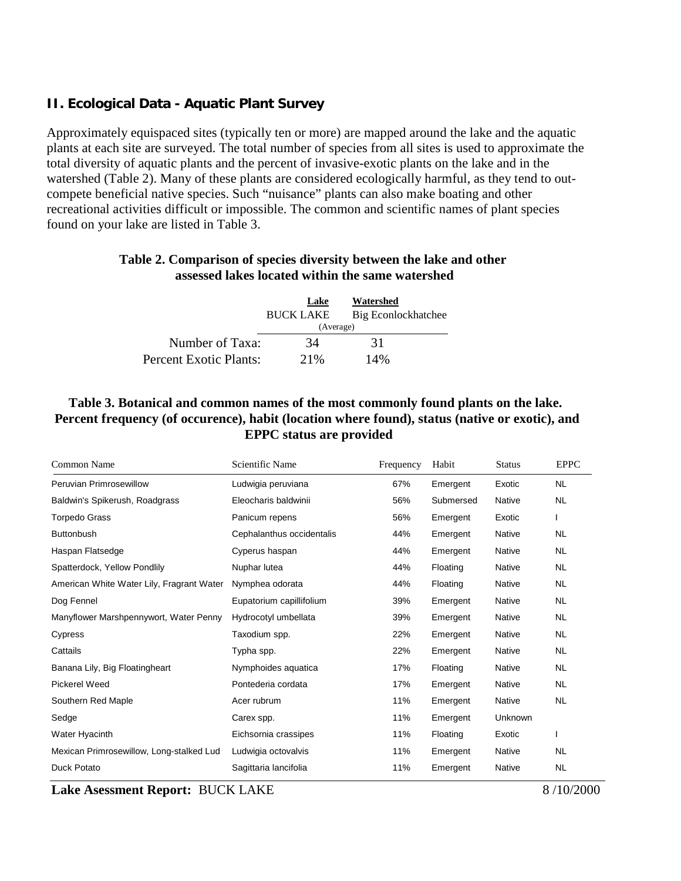## **II. Ecological Data - Aquatic Plant Survey**

Approximately equispaced sites (typically ten or more) are mapped around the lake and the aquatic plants at each site are surveyed. The total number of species from all sites is used to approximate the total diversity of aquatic plants and the percent of invasive-exotic plants on the lake and in the watershed (Table 2). Many of these plants are considered ecologically harmful, as they tend to outcompete beneficial native species. Such "nuisance" plants can also make boating and other recreational activities difficult or impossible. The common and scientific names of plant species found on your lake are listed in Table 3.

## **Table 2. Comparison of species diversity between the lake and other assessed lakes located within the same watershed**

|                        | Lake                                                 | Watershed |  |  |  |
|------------------------|------------------------------------------------------|-----------|--|--|--|
|                        | <b>BUCK LAKE</b><br>Big Econlockhatchee<br>(Average) |           |  |  |  |
| Number of Taxa:        | 34                                                   | 31        |  |  |  |
| Percent Exotic Plants: | 2.1%                                                 | 14%       |  |  |  |

## **Table 3. Botanical and common names of the most commonly found plants on the lake. Percent frequency (of occurence), habit (location where found), status (native or exotic), and EPPC status are provided**

| Common Name                               | Scientific Name           | Frequency | Habit     | <b>Status</b> | <b>EPPC</b> |
|-------------------------------------------|---------------------------|-----------|-----------|---------------|-------------|
| Peruvian Primrosewillow                   | Ludwigia peruviana        | 67%       | Emergent  | Exotic        | <b>NL</b>   |
| Baldwin's Spikerush, Roadgrass            | Eleocharis baldwinii      | 56%       | Submersed | <b>Native</b> | <b>NL</b>   |
| <b>Torpedo Grass</b>                      | Panicum repens            | 56%       | Emergent  | Exotic        |             |
| <b>Buttonbush</b>                         | Cephalanthus occidentalis | 44%       | Emergent  | Native        | <b>NL</b>   |
| Haspan Flatsedge                          | Cyperus haspan            | 44%       | Emergent  | <b>Native</b> | <b>NL</b>   |
| Spatterdock, Yellow Pondlily              | Nuphar lutea              | 44%       | Floating  | Native        | <b>NL</b>   |
| American White Water Lily, Fragrant Water | Nymphea odorata           | 44%       | Floating  | Native        | <b>NL</b>   |
| Dog Fennel                                | Eupatorium capillifolium  | 39%       | Emergent  | <b>Native</b> | <b>NL</b>   |
| Manyflower Marshpennywort, Water Penny    | Hydrocotyl umbellata      | 39%       | Emergent  | Native        | <b>NL</b>   |
| Cypress                                   | Taxodium spp.             | 22%       | Emergent  | <b>Native</b> | <b>NL</b>   |
| Cattails                                  | Typha spp.                | 22%       | Emergent  | Native        | NL          |
| Banana Lily, Big Floatingheart            | Nymphoides aquatica       | 17%       | Floating  | Native        | <b>NL</b>   |
| Pickerel Weed                             | Pontederia cordata        | 17%       | Emergent  | Native        | <b>NL</b>   |
| Southern Red Maple                        | Acer rubrum               | 11%       | Emergent  | Native        | <b>NL</b>   |
| Sedge                                     | Carex spp.                | 11%       | Emergent  | Unknown       |             |
| Water Hyacinth                            | Eichsornia crassipes      | 11%       | Floating  | Exotic        |             |
| Mexican Primrosewillow, Long-stalked Lud  | Ludwigia octovalvis       | 11%       | Emergent  | Native        | <b>NL</b>   |
| <b>Duck Potato</b>                        | Sagittaria lancifolia     | 11%       | Emergent  | <b>Native</b> | <b>NL</b>   |

**Lake Asessment Report:** BUCK LAKE 8/10/2000